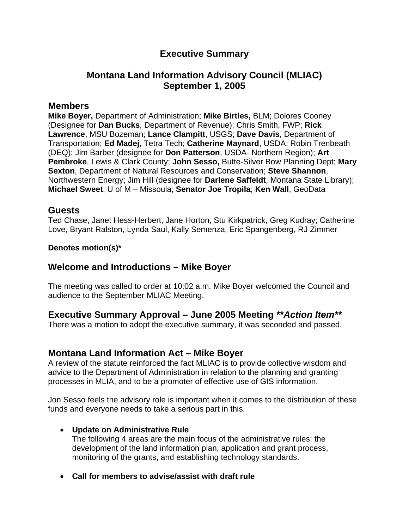# **Executive Summary**

# **Montana Land Information Advisory Council (MLIAC) September 1, 2005**

## **Members**

**Mike Boyer,** Department of Administration; **Mike Birtles,** BLM; Dolores Cooney (Designee for **Dan Bucks**, Department of Revenue); Chris Smith, FWP; **Rick Lawrence**, MSU Bozeman; **Lance Clampitt**, USGS; **Dave Davis**, Department of Transportation; **Ed Madej**, Tetra Tech; **Catherine Maynard**, USDA; Robin Trenbeath (DEQ); Jim Barber (designee for **Don Patterson**, USDA- Northern Region); **Art Pembroke**, Lewis & Clark County; **John Sesso,** Butte-Silver Bow Planning Dept; **Mary Sexton**, Department of Natural Resources and Conservation; **Steve Shannon**, Northwestern Energy; Jim Hill (designee for **Darlene Saffeldt**, Montana State Library); **Michael Sweet**, U of M – Missoula; **Senator Joe Tropila**; **Ken Wall**, GeoData

#### **Guests**

Ted Chase, Janet Hess-Herbert, Jane Horton, Stu Kirkpatrick, Greg Kudray; Catherine Love, Bryant Ralston, Lynda Saul, Kally Semenza, Eric Spangenberg, RJ Zimmer

#### **Denotes motion(s)\***

## **Welcome and Introductions – Mike Boyer**

The meeting was called to order at 10:02 a.m. Mike Boyer welcomed the Council and audience to the September MLIAC Meeting.

# **Executive Summary Approval – June 2005 Meeting** *\*\*Action Item\*\**

There was a motion to adopt the executive summary, it was seconded and passed.

# **Montana Land Information Act – Mike Boyer**

A review of the statute reinforced the fact MLIAC is to provide collective wisdom and advice to the Department of Administration in relation to the planning and granting processes in MLIA, and to be a promoter of effective use of GIS information.

Jon Sesso feels the advisory role is important when it comes to the distribution of these funds and everyone needs to take a serious part in this.

#### **Update on Administrative Rule**

The following 4 areas are the main focus of the administrative rules: the development of the land information plan, application and grant process, monitoring of the grants, and establishing technology standards.

**Call for members to advise/assist with draft rule**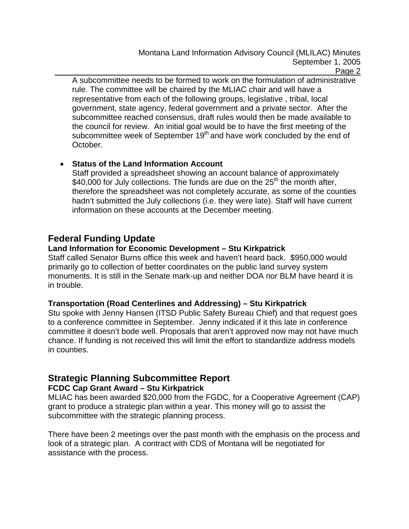A subcommittee needs to be formed to work on the formulation of administrative rule. The committee will be chaired by the MLIAC chair and will have a representative from each of the following groups, legislative , tribal, local government, state agency, federal government and a private sector. After the subcommittee reached consensus, draft rules would then be made available to the council for review. An initial goal would be to have the first meeting of the subcommittee week of September 19<sup>th</sup> and have work concluded by the end of October.

## **Status of the Land Information Account**

Staff provided a spreadsheet showing an account balance of approximately \$40,000 for July collections. The funds are due on the  $25<sup>th</sup>$  the month after, therefore the spreadsheet was not completely accurate, as some of the counties hadn't submitted the July collections (i.e. they were late). Staff will have current information on these accounts at the December meeting.

# **Federal Funding Update**

## **Land Information for Economic Development – Stu Kirkpatrick**

Staff called Senator Burns office this week and haven't heard back. \$950,000 would primarily go to collection of better coordinates on the public land survey system monuments. It is still in the Senate mark-up and neither DOA nor BLM have heard it is in trouble.

#### **Transportation (Road Centerlines and Addressing) – Stu Kirkpatrick**

Stu spoke with Jenny Hansen (ITSD Public Safety Bureau Chief) and that request goes to a conference committee in September. Jenny indicated if it this late in conference committee it doesn't bode well. Proposals that aren't approved now may not have much chance. If funding is not received this will limit the effort to standardize address models in counties.

# **Strategic Planning Subcommittee Report**

## **FCDC Cap Grant Award – Stu Kirkpatrick**

MLIAC has been awarded \$20,000 from the FGDC, for a Cooperative Agreement (CAP) grant to produce a strategic plan within a year. This money will go to assist the subcommittee with the strategic planning process.

There have been 2 meetings over the past month with the emphasis on the process and look of a strategic plan. A contract with CDS of Montana will be negotiated for assistance with the process.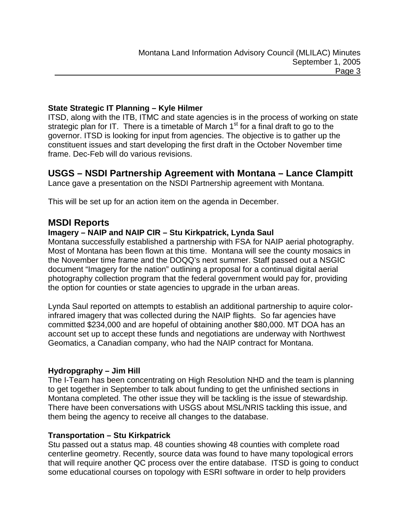#### **State Strategic IT Planning – Kyle Hilmer**

ITSD, along with the ITB, ITMC and state agencies is in the process of working on state strategic plan for IT. There is a timetable of March 1<sup>st</sup> for a final draft to go to the governor. ITSD is looking for input from agencies. The objective is to gather up the constituent issues and start developing the first draft in the October November time frame. Dec-Feb will do various revisions.

# **USGS – NSDI Partnership Agreement with Montana – Lance Clampitt**

Lance gave a presentation on the NSDI Partnership agreement with Montana.

This will be set up for an action item on the agenda in December.

## **MSDI Reports**

#### **Imagery – NAIP and NAIP CIR – Stu Kirkpatrick, Lynda Saul**

Montana successfully established a partnership with FSA for NAIP aerial photography. Most of Montana has been flown at this time. Montana will see the county mosaics in the November time frame and the DOQQ's next summer. Staff passed out a NSGIC document "Imagery for the nation" outlining a proposal for a continual digital aerial photography collection program that the federal government would pay for, providing the option for counties or state agencies to upgrade in the urban areas.

Lynda Saul reported on attempts to establish an additional partnership to aquire colorinfrared imagery that was collected during the NAIP flights. So far agencies have committed \$234,000 and are hopeful of obtaining another \$80,000. MT DOA has an account set up to accept these funds and negotiations are underway with Northwest Geomatics, a Canadian company, who had the NAIP contract for Montana.

#### **Hydropgraphy – Jim Hill**

The I-Team has been concentrating on High Resolution NHD and the team is planning to get together in September to talk about funding to get the unfinished sections in Montana completed. The other issue they will be tackling is the issue of stewardship. There have been conversations with USGS about MSL/NRIS tackling this issue, and them being the agency to receive all changes to the database.

#### **Transportation – Stu Kirkpatrick**

Stu passed out a status map. 48 counties showing 48 counties with complete road centerline geometry. Recently, source data was found to have many topological errors that will require another QC process over the entire database. ITSD is going to conduct some educational courses on topology with ESRI software in order to help providers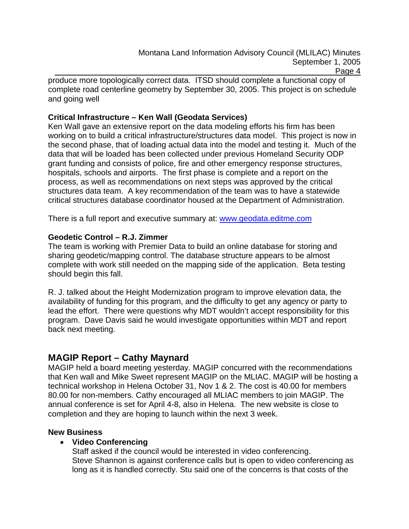produce more topologically correct data. ITSD should complete a functional copy of complete road centerline geometry by September 30, 2005. This project is on schedule and going well

## **Critical Infrastructure – Ken Wall (Geodata Services)**

Ken Wall gave an extensive report on the data modeling efforts his firm has been working on to build a critical infrastructure/structures data model. This project is now in the second phase, that of loading actual data into the model and testing it. Much of the data that will be loaded has been collected under previous Homeland Security ODP grant funding and consists of police, fire and other emergency response structures, hospitals, schools and airports. The first phase is complete and a report on the process, as well as recommendations on next steps was approved by the critical structures data team. A key recommendation of the team was to have a statewide critical structures database coordinator housed at the Department of Administration.

There is a full report and executive summary at: www.geodata.editme.com

#### **Geodetic Control – R.J. Zimmer**

The team is working with Premier Data to build an online database for storing and sharing geodetic/mapping control. The database structure appears to be almost complete with work still needed on the mapping side of the application. Beta testing should begin this fall.

R. J. talked about the Height Modernization program to improve elevation data, the availability of funding for this program, and the difficulty to get any agency or party to lead the effort. There were questions why MDT wouldn't accept responsibility for this program. Dave Davis said he would investigate opportunities within MDT and report back next meeting.

# **MAGIP Report – Cathy Maynard**

MAGIP held a board meeting yesterday. MAGIP concurred with the recommendations that Ken wall and Mike Sweet represent MAGIP on the MLIAC. MAGIP will be hosting a technical workshop in Helena October 31, Nov 1 & 2. The cost is 40.00 for members 80.00 for non-members. Cathy encouraged all MLIAC members to join MAGIP. The annual conference is set for April 4-8, also in Helena. The new website is close to completion and they are hoping to launch within the next 3 week.

#### **New Business**

## **Video Conferencing**

Staff asked if the council would be interested in video conferencing. Steve Shannon is against conference calls but is open to video conferencing as long as it is handled correctly. Stu said one of the concerns is that costs of the